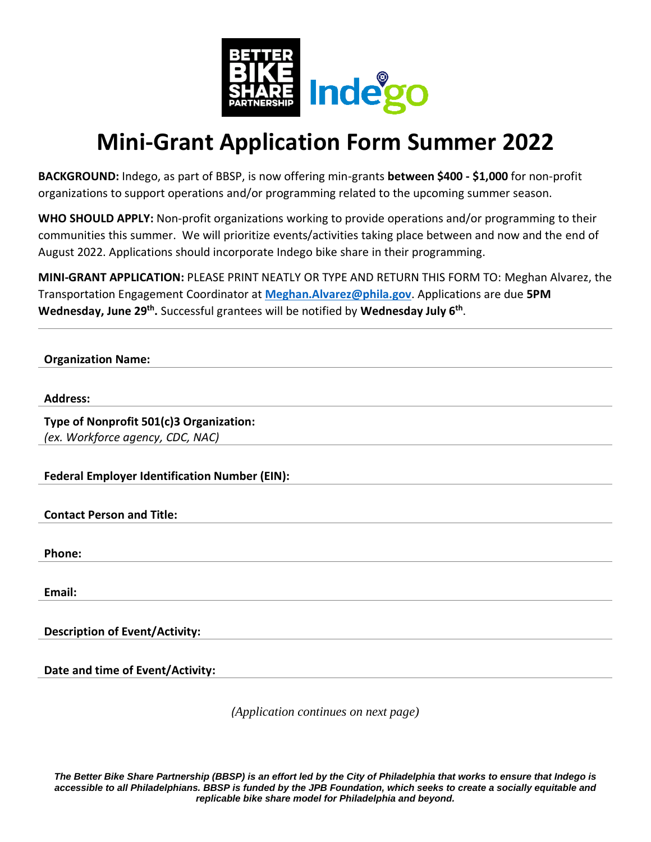

## **Mini-Grant Application Form Summer 2022**

**BACKGROUND:** Indego, as part of BBSP, is now offering min-grants **between \$400 - \$1,000** for non-profit organizations to support operations and/or programming related to the upcoming summer season.

**WHO SHOULD APPLY:** Non-profit organizations working to provide operations and/or programming to their communities this summer. We will prioritize events/activities taking place between and now and the end of August 2022. Applications should incorporate Indego bike share in their programming.

**MINI-GRANT APPLICATION:** PLEASE PRINT NEATLY OR TYPE AND RETURN THIS FORM TO: Meghan Alvarez, the Transportation Engagement Coordinator at **[Meghan.Alvarez@phila.gov](mailto:Stephanie.Ridgeway@phila.gov)**. Applications are due **5PM Wednesday, June 29th .** Successful grantees will be notified by **Wednesday July 6th** .

**Organization Name:** 

## **Address:**

**Type of Nonprofit 501(c)3 Organization:** *(ex. Workforce agency, CDC, NAC)*

**Federal Employer Identification Number (EIN):** 

**Contact Person and Title:**

**Phone:** 

**Email:** 

**Description of Event/Activity:**

**Date and time of Event/Activity:** 

*(Application continues on next page)*

*The Better Bike Share Partnership (BBSP) is an effort led by the City of Philadelphia that works to ensure that Indego is accessible to all Philadelphians. BBSP is funded by the JPB Foundation, which seeks to create a socially equitable and replicable bike share model for Philadelphia and beyond.*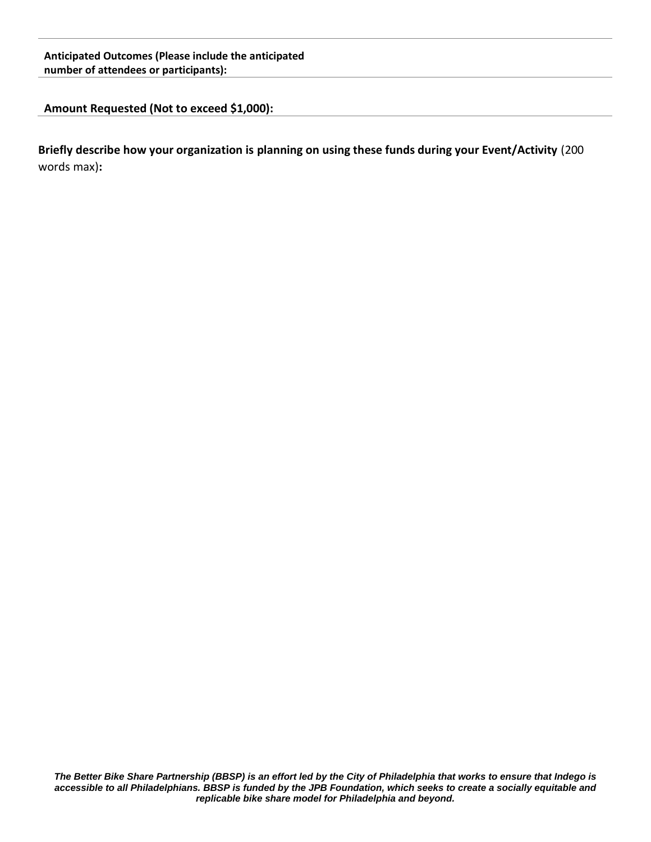## **Anticipated Outcomes (Please include the anticipated number of attendees or participants):**

## **Amount Requested (Not to exceed \$1,000):**

**Briefly describe how your organization is planning on using these funds during your Event/Activity** (200 words max)**:**